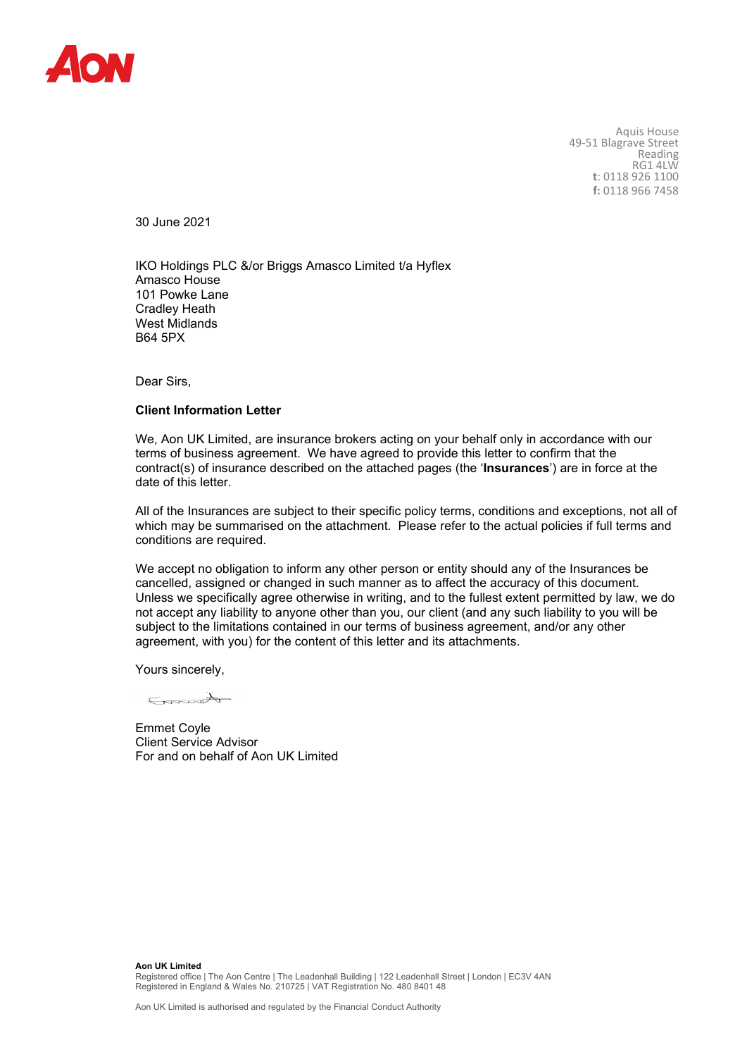

Aquis House 49-51 Blagrave Street Reading RG1 4LW **t**: 0118 926 1100 **f:** 0118 966 7458

30 June 2021

IKO Holdings PLC &/or Briggs Amasco Limited t/a Hyflex Amasco House 101 Powke Lane Cradley Heath West Midlands B64 5PX

Dear Sirs,

## **Client Information Letter**

We, Aon UK Limited, are insurance brokers acting on your behalf only in accordance with our terms of business agreement. We have agreed to provide this letter to confirm that the contract(s) of insurance described on the attached pages (the '**Insurances**') are in force at the date of this letter.

All of the Insurances are subject to their specific policy terms, conditions and exceptions, not all of which may be summarised on the attachment. Please refer to the actual policies if full terms and conditions are required.

We accept no obligation to inform any other person or entity should any of the Insurances be cancelled, assigned or changed in such manner as to affect the accuracy of this document. Unless we specifically agree otherwise in writing, and to the fullest extent permitted by law, we do not accept any liability to anyone other than you, our client (and any such liability to you will be subject to the limitations contained in our terms of business agreement, and/or any other agreement, with you) for the content of this letter and its attachments.

Yours sincerely,

Cannot

Emmet Coyle Client Service Advisor For and on behalf of Aon UK Limited